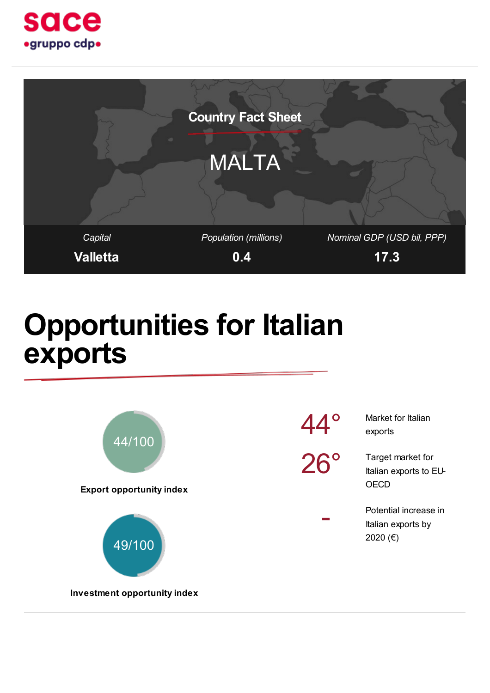



### Opportunities for Italian exports

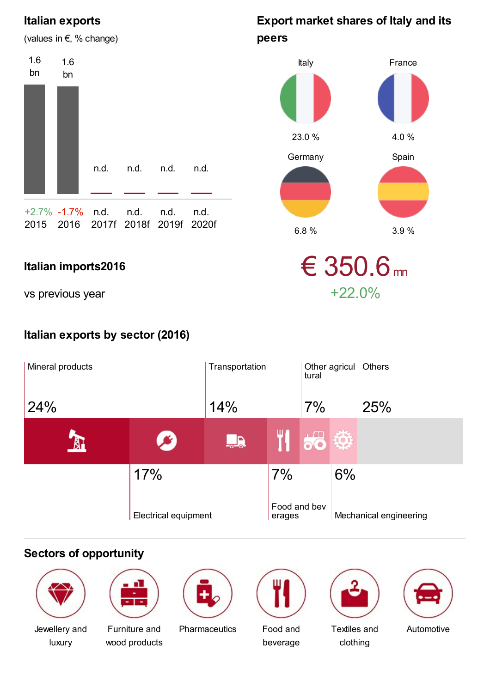#### Italian exports

1.6 bn

(values in €, % change)

### Italy peers

Export market shares of Italy and its



vs previous year  $+22.0\%$ 

#### Italian exports by sector (2016)



#### Sectors of opportunity



Jewellery and luxury



Furniture and wood products

Pharmaceutics Food and



beverage



| Textiles and |
|--------------|
| clothing     |

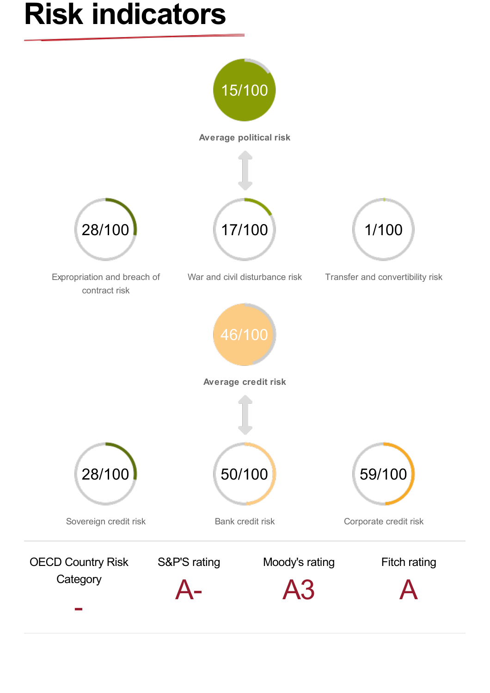## Risk indicators